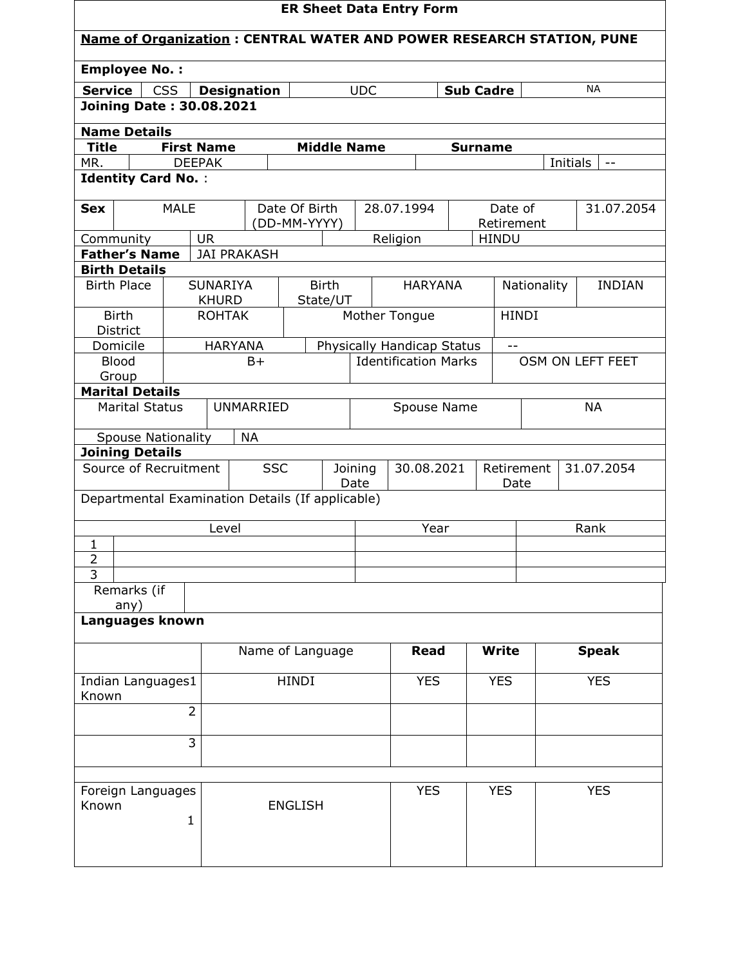| <b>ER Sheet Data Entry Form</b>                                             |                                                                                 |                               |                    |                               |             |            |                             |                |              |                  |              |               |
|-----------------------------------------------------------------------------|---------------------------------------------------------------------------------|-------------------------------|--------------------|-------------------------------|-------------|------------|-----------------------------|----------------|--------------|------------------|--------------|---------------|
| <b>Name of Organization: CENTRAL WATER AND POWER RESEARCH STATION, PUNE</b> |                                                                                 |                               |                    |                               |             |            |                             |                |              |                  |              |               |
| <b>Employee No.:</b>                                                        |                                                                                 |                               |                    |                               |             |            |                             |                |              |                  |              |               |
| <b>Service</b>                                                              | <b>CSS</b><br><b>UDC</b><br><b>NA</b><br><b>Designation</b><br><b>Sub Cadre</b> |                               |                    |                               |             |            |                             |                |              |                  |              |               |
| <b>Joining Date: 30.08.2021</b>                                             |                                                                                 |                               |                    |                               |             |            |                             |                |              |                  |              |               |
| <b>Name Details</b>                                                         |                                                                                 |                               |                    |                               |             |            |                             |                |              |                  |              |               |
| <b>Title</b>                                                                | <b>First Name</b>                                                               |                               |                    | <b>Middle Name</b>            |             |            |                             | <b>Surname</b> |              |                  |              |               |
| MR.                                                                         | <b>DEEPAK</b>                                                                   |                               |                    |                               |             |            |                             |                |              |                  | Initials     | $- -$         |
| <b>Identity Card No.:</b>                                                   |                                                                                 |                               |                    |                               |             |            |                             |                |              |                  |              |               |
| <b>Sex</b>                                                                  | <b>MALE</b>                                                                     |                               |                    | Date Of Birth                 |             |            | 28.07.1994                  |                | Date of      |                  |              | 31.07.2054    |
|                                                                             |                                                                                 |                               |                    | (DD-MM-YYYY)                  |             |            |                             |                | Retirement   |                  |              |               |
| Community                                                                   |                                                                                 | <b>UR</b>                     |                    |                               |             |            | Religion                    |                | <b>HINDU</b> |                  |              |               |
| <b>Father's Name</b>                                                        |                                                                                 |                               | <b>JAI PRAKASH</b> |                               |             |            |                             |                |              |                  |              |               |
| <b>Birth Details</b>                                                        |                                                                                 |                               |                    |                               |             |            |                             |                |              |                  |              |               |
| <b>Birth Place</b>                                                          |                                                                                 | <b>SUNARIYA</b>               |                    | <b>Birth</b>                  |             |            | <b>HARYANA</b>              |                |              | Nationality      |              | <b>INDIAN</b> |
| <b>Birth</b>                                                                |                                                                                 | <b>KHURD</b><br><b>ROHTAK</b> |                    | State/UT                      |             |            | Mother Tongue               |                |              | <b>HINDI</b>     |              |               |
| District                                                                    |                                                                                 |                               |                    |                               |             |            |                             |                |              |                  |              |               |
| Domicile                                                                    |                                                                                 |                               | <b>HARYANA</b>     |                               |             |            | Physically Handicap Status  |                | $- -$        |                  |              |               |
| <b>Blood</b>                                                                |                                                                                 |                               | $B+$               |                               |             |            | <b>Identification Marks</b> |                |              | OSM ON LEFT FEET |              |               |
| Group                                                                       |                                                                                 |                               |                    |                               |             |            |                             |                |              |                  |              |               |
| <b>Marital Details</b><br><b>Marital Status</b>                             |                                                                                 |                               | <b>UNMARRIED</b>   |                               |             |            |                             |                |              |                  | <b>NA</b>    |               |
|                                                                             |                                                                                 |                               |                    |                               | Spouse Name |            |                             |                |              |                  |              |               |
| <b>Spouse Nationality</b>                                                   |                                                                                 |                               | <b>NA</b>          |                               |             |            |                             |                |              |                  |              |               |
| <b>Joining Details</b>                                                      |                                                                                 |                               |                    |                               |             |            |                             |                |              |                  |              |               |
| Source of Recruitment<br><b>SSC</b>                                         |                                                                                 |                               |                    | 30.08.2021<br>Joining<br>Date |             |            | Retirement                  |                | 31.07.2054   |                  |              |               |
| Departmental Examination Details (If applicable)                            |                                                                                 |                               |                    |                               |             |            |                             |                | Date         |                  |              |               |
|                                                                             |                                                                                 |                               |                    |                               |             |            |                             |                |              |                  |              |               |
|                                                                             |                                                                                 | Level                         |                    |                               |             |            | Year                        |                |              |                  | Rank         |               |
| $\mathbf{1}$                                                                |                                                                                 |                               |                    |                               |             |            |                             |                |              |                  |              |               |
| $\overline{2}$                                                              |                                                                                 |                               |                    |                               |             |            |                             |                |              |                  |              |               |
| $\overline{3}$                                                              |                                                                                 |                               |                    |                               |             |            |                             |                |              |                  |              |               |
| Remarks (if<br>any)                                                         |                                                                                 |                               |                    |                               |             |            |                             |                |              |                  |              |               |
| Languages known                                                             |                                                                                 |                               |                    |                               |             |            |                             |                |              |                  |              |               |
|                                                                             |                                                                                 |                               |                    |                               |             |            |                             |                |              |                  |              |               |
|                                                                             |                                                                                 |                               |                    | Name of Language              |             |            | <b>Read</b>                 |                | <b>Write</b> |                  | <b>Speak</b> |               |
|                                                                             |                                                                                 |                               |                    |                               |             |            |                             |                |              |                  |              |               |
| Indian Languages1<br>Known                                                  |                                                                                 |                               |                    | <b>HINDI</b>                  |             | <b>YES</b> |                             |                | <b>YES</b>   |                  | <b>YES</b>   |               |
|                                                                             | $\overline{2}$                                                                  |                               |                    |                               |             |            |                             |                |              |                  |              |               |
|                                                                             |                                                                                 |                               |                    |                               |             |            |                             |                |              |                  |              |               |
|                                                                             | $\overline{3}$                                                                  |                               |                    |                               |             |            |                             |                |              |                  |              |               |
|                                                                             |                                                                                 |                               |                    |                               |             |            |                             |                |              |                  |              |               |
| Foreign Languages                                                           |                                                                                 |                               |                    |                               |             |            | <b>YES</b>                  |                | <b>YES</b>   |                  | <b>YES</b>   |               |
| Known                                                                       |                                                                                 |                               |                    | <b>ENGLISH</b>                |             |            |                             |                |              |                  |              |               |
|                                                                             | $\mathbf{1}$                                                                    |                               |                    |                               |             |            |                             |                |              |                  |              |               |
|                                                                             |                                                                                 |                               |                    |                               |             |            |                             |                |              |                  |              |               |
|                                                                             |                                                                                 |                               |                    |                               |             |            |                             |                |              |                  |              |               |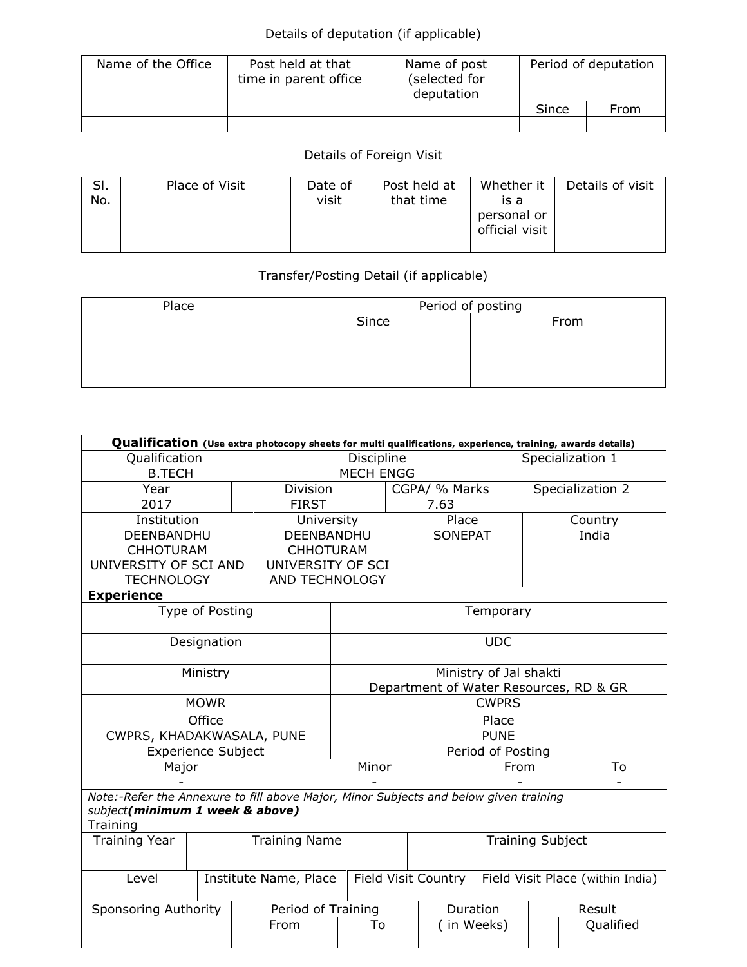## Details of deputation (if applicable)

| Name of the Office | Post held at that<br>time in parent office | Name of post<br>(selected for<br>deputation | Period of deputation |      |  |
|--------------------|--------------------------------------------|---------------------------------------------|----------------------|------|--|
|                    |                                            |                                             | Since                | From |  |
|                    |                                            |                                             |                      |      |  |

## Details of Foreign Visit

| SI.<br>No. | Place of Visit | Date of<br>visit | Post held at<br>that time | Whether it<br>is a<br>personal or<br>official visit | Details of visit |
|------------|----------------|------------------|---------------------------|-----------------------------------------------------|------------------|
|            |                |                  |                           |                                                     |                  |

## Transfer/Posting Detail (if applicable)

| Place | Period of posting |      |  |  |  |  |
|-------|-------------------|------|--|--|--|--|
|       | Since             | From |  |  |  |  |
|       |                   |      |  |  |  |  |
|       |                   |      |  |  |  |  |
|       |                   |      |  |  |  |  |
|       |                   |      |  |  |  |  |

| Qualification (Use extra photocopy sheets for multi qualifications, experience, training, awards details) |                           |  |                    |                                                                                       |               |                     |                  |    |                                  |  |
|-----------------------------------------------------------------------------------------------------------|---------------------------|--|--------------------|---------------------------------------------------------------------------------------|---------------|---------------------|------------------|----|----------------------------------|--|
| Qualification                                                                                             |                           |  | Discipline         |                                                                                       |               |                     | Specialization 1 |    |                                  |  |
| <b>B.TECH</b>                                                                                             |                           |  |                    | <b>MECH ENGG</b>                                                                      |               |                     |                  |    |                                  |  |
| Year                                                                                                      |                           |  | Division           |                                                                                       | CGPA/ % Marks |                     |                  |    | Specialization 2                 |  |
| 2017                                                                                                      |                           |  |                    | <b>FIRST</b>                                                                          |               | 7.63                |                  |    |                                  |  |
| Institution                                                                                               |                           |  | University         |                                                                                       |               | Place               |                  |    | Country                          |  |
| DEENBANDHU                                                                                                |                           |  | DEENBANDHU         |                                                                                       |               | <b>SONEPAT</b>      |                  |    | India                            |  |
| <b>CHHOTURAM</b>                                                                                          |                           |  | <b>CHHOTURAM</b>   |                                                                                       |               |                     |                  |    |                                  |  |
| UNIVERSITY OF SCI AND                                                                                     |                           |  | UNIVERSITY OF SCI  |                                                                                       |               |                     |                  |    |                                  |  |
| <b>TECHNOLOGY</b>                                                                                         |                           |  | AND TECHNOLOGY     |                                                                                       |               |                     |                  |    |                                  |  |
| <b>Experience</b>                                                                                         |                           |  |                    |                                                                                       |               |                     |                  |    |                                  |  |
|                                                                                                           | Type of Posting           |  |                    |                                                                                       |               |                     | Temporary        |    |                                  |  |
|                                                                                                           |                           |  |                    |                                                                                       |               |                     |                  |    |                                  |  |
|                                                                                                           | Designation               |  |                    |                                                                                       |               |                     | <b>UDC</b>       |    |                                  |  |
|                                                                                                           |                           |  |                    |                                                                                       |               |                     |                  |    |                                  |  |
|                                                                                                           | Ministry                  |  |                    | Ministry of Jal shakti                                                                |               |                     |                  |    |                                  |  |
|                                                                                                           |                           |  |                    | Department of Water Resources, RD & GR<br><b>CWPRS</b>                                |               |                     |                  |    |                                  |  |
|                                                                                                           | <b>MOWR</b>               |  |                    |                                                                                       |               |                     |                  |    |                                  |  |
|                                                                                                           | Office                    |  |                    | Place                                                                                 |               |                     |                  |    |                                  |  |
| CWPRS, KHADAKWASALA, PUNE                                                                                 |                           |  |                    | <b>PUNE</b>                                                                           |               |                     |                  |    |                                  |  |
|                                                                                                           | <b>Experience Subject</b> |  |                    | Period of Posting                                                                     |               |                     |                  |    |                                  |  |
| Major                                                                                                     |                           |  |                    | Minor<br>From                                                                         |               |                     |                  | To |                                  |  |
|                                                                                                           |                           |  |                    | Note:-Refer the Annexure to fill above Major, Minor Subjects and below given training |               |                     |                  |    |                                  |  |
| subject(minimum 1 week & above)                                                                           |                           |  |                    |                                                                                       |               |                     |                  |    |                                  |  |
| Training                                                                                                  |                           |  |                    |                                                                                       |               |                     |                  |    |                                  |  |
| <b>Training Year</b><br><b>Training Name</b>                                                              |                           |  |                    | <b>Training Subject</b>                                                               |               |                     |                  |    |                                  |  |
|                                                                                                           |                           |  |                    |                                                                                       |               |                     |                  |    |                                  |  |
| Institute Name, Place<br>Level                                                                            |                           |  |                    |                                                                                       |               | Field Visit Country |                  |    | Field Visit Place (within India) |  |
|                                                                                                           |                           |  |                    |                                                                                       |               |                     |                  |    |                                  |  |
| Sponsoring Authority                                                                                      |                           |  | Period of Training |                                                                                       |               |                     | Duration         |    | Result                           |  |
|                                                                                                           |                           |  | From               | To                                                                                    |               | in Weeks)           |                  |    | Qualified                        |  |
|                                                                                                           |                           |  |                    |                                                                                       |               |                     |                  |    |                                  |  |